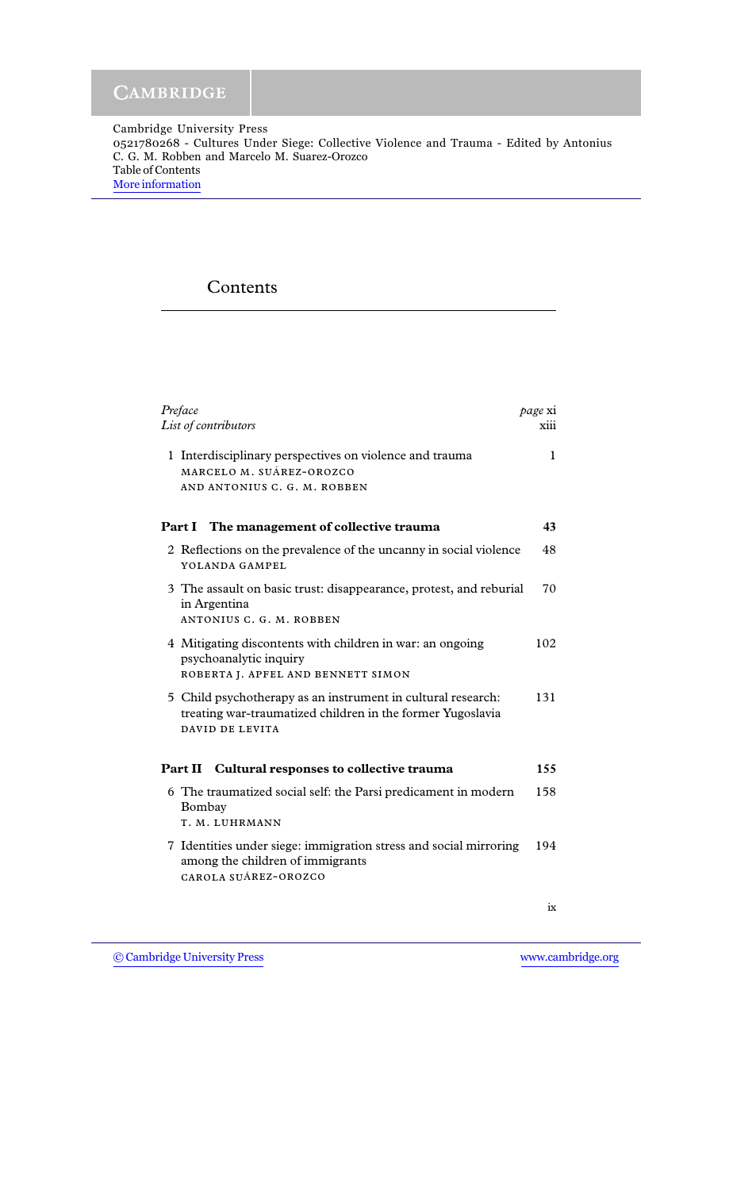Cambridge University Press 0521780268 - Cultures Under Siege: Collective Violence and Trauma - Edited by Antonius C. G. M. Robben and Marcelo M. Suarez-Orozco Table of Contents [More information](http://www.cambridge.org/0521780268)

## Contents

| Preface<br>List of contributors                                                                                                               | page xi<br>xiii |
|-----------------------------------------------------------------------------------------------------------------------------------------------|-----------------|
| 1 Interdisciplinary perspectives on violence and trauma<br>MARCELO M. SUÁREZ-OROZCO<br>AND ANTONIUS C. G. M. ROBBEN                           | 1               |
| The management of collective trauma<br>Part I                                                                                                 | 43              |
| 2 Reflections on the prevalence of the uncanny in social violence<br>YOLANDA GAMPEL                                                           | 48              |
| 3 The assault on basic trust: disappearance, protest, and reburial<br>in Argentina<br>ANTONIUS C. G. M. ROBBEN                                | 70              |
| 4 Mitigating discontents with children in war: an ongoing<br>psychoanalytic inquiry<br>ROBERTA J. APFEL AND BENNETT SIMON                     | 102             |
| 5 Child psychotherapy as an instrument in cultural research:<br>treating war-traumatized children in the former Yugoslavia<br>DAVID DE LEVITA | 131             |
| <b>Part II</b> Cultural responses to collective trauma                                                                                        | 155             |
| 6 The traumatized social self: the Parsi predicament in modern<br>Bombay<br>T. M. LUHRMANN                                                    | 158             |
| 7 Identities under siege: immigration stress and social mirroring<br>among the children of immigrants<br>CAROLA SUÁREZ-OROZCO                 | 194             |